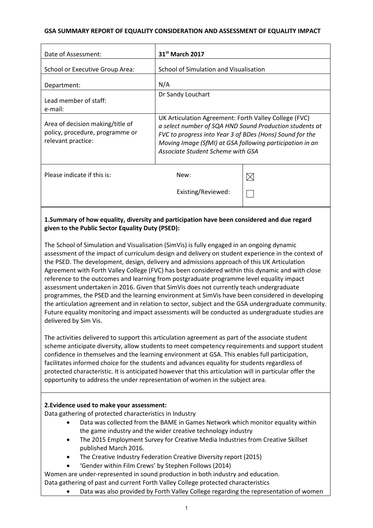## **GSA SUMMARY REPORT OF EQUALITY CONSIDERATION AND ASSESSMENT OF EQUALITY IMPACT**

| Date of Assessment:                                                                       | 31 <sup>st</sup> March 2017                                                                                                                                                                                                                                                   |             |
|-------------------------------------------------------------------------------------------|-------------------------------------------------------------------------------------------------------------------------------------------------------------------------------------------------------------------------------------------------------------------------------|-------------|
| School or Executive Group Area:                                                           | School of Simulation and Visualisation                                                                                                                                                                                                                                        |             |
| Department:                                                                               | N/A                                                                                                                                                                                                                                                                           |             |
| Lead member of staff:<br>e-mail:                                                          | Dr Sandy Louchart                                                                                                                                                                                                                                                             |             |
| Area of decision making/title of<br>policy, procedure, programme or<br>relevant practice: | UK Articulation Agreement: Forth Valley College (FVC)<br>a select number of SQA HND Sound Production students at<br>FVC to progress into Year 3 of BDes (Hons) Sound for the<br>Moving Image (SfMI) at GSA following participation in an<br>Associate Student Scheme with GSA |             |
| Please indicate if this is:                                                               | New:                                                                                                                                                                                                                                                                          | $\boxtimes$ |
|                                                                                           | Existing/Reviewed:                                                                                                                                                                                                                                                            |             |

## **1.Summary of how equality, diversity and participation have been considered and due regard given to the Public Sector Equality Duty (PSED):**

The School of Simulation and Visualisation (SimVis) is fully engaged in an ongoing dynamic assessment of the impact of curriculum design and delivery on student experience in the context of the PSED. The development, design, delivery and admissions approach of this UK Articulation Agreement with Forth Valley College (FVC) has been considered within this dynamic and with close reference to the outcomes and learning from postgraduate programme level equality impact assessment undertaken in 2016. Given that SimVis does not currently teach undergraduate programmes, the PSED and the learning environment at SimVis have been considered in developing the articulation agreement and in relation to sector, subject and the GSA undergraduate community. Future equality monitoring and impact assessments will be conducted as undergraduate studies are delivered by Sim Vis.

The activities delivered to support this articulation agreement as part of the associate student scheme anticipate diversity, allow students to meet competency requirements and support student confidence in themselves and the learning environment at GSA. This enables full participation, facilitates informed choice for the students and advances equality for students regardless of protected characteristic. It is anticipated however that this articulation will in particular offer the opportunity to address the under representation of women in the subject area.

#### **2.Evidence used to make your assessment:**

Data gathering of protected characteristics in Industry

- Data was collected from the BAME in Games Network which monitor equality within the game industry and the wider creative technology industry
- The 2015 Employment Survey for Creative Media Industries from Creative Skillset published March 2016.
- The Creative Industry Federation Creative Diversity report (2015)
- 'Gender within Film Crews' by Stephen Follows (2014)

Women are under-represented in sound production in both industry and education. Data gathering of past and current Forth Valley College protected characteristics

• Data was also provided by Forth Valley College regarding the representation of women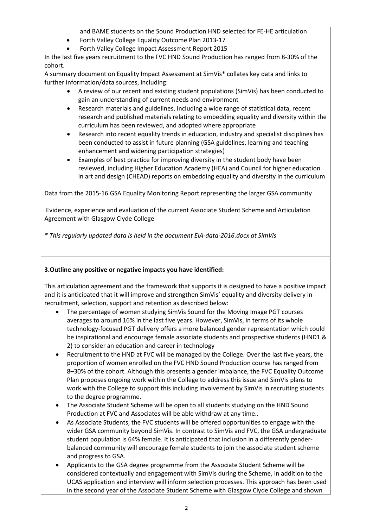and BAME students on the Sound Production HND selected for FE-HE articulation

- Forth Valley College Equality Outcome Plan 2013-17
- Forth Valley College Impact Assessment Report 2015

In the last five years recruitment to the FVC HND Sound Production has ranged from 8-30% of the cohort.

A summary document on Equality Impact Assessment at SimVis\* collates key data and links to further information/data sources, including:

- A review of our recent and existing student populations (SimVis) has been conducted to gain an understanding of current needs and environment
- Research materials and guidelines, including a wide range of statistical data, recent research and published materials relating to embedding equality and diversity within the curriculum has been reviewed, and adopted where appropriate
- Research into recent equality trends in education, industry and specialist disciplines has been conducted to assist in future planning (GSA guidelines, learning and teaching enhancement and widening participation strategies)
- Examples of best practice for improving diversity in the student body have been reviewed, including Higher Education Academy (HEA) and Council for higher education in art and design (CHEAD) reports on embedding equality and diversity in the curriculum

Data from the 2015-16 GSA Equality Monitoring Report representing the larger GSA community

Evidence, experience and evaluation of the current Associate Student Scheme and Articulation Agreement with Glasgow Clyde College

*\* This regularly updated data is held in the document EIA-data-2016.docx at SimVis*

## **3.Outline any positive or negative impacts you have identified:**

This articulation agreement and the framework that supports it is designed to have a positive impact and it is anticipated that it will improve and strengthen SimVis' equality and diversity delivery in recruitment, selection, support and retention as described below:

- The percentage of women studying SimVis Sound for the Moving Image PGT courses averages to around 16% in the last five years. However, SimVis, in terms of its whole technology-focused PGT delivery offers a more balanced gender representation which could be inspirational and encourage female associate students and prospective students (HND1 & 2) to consider an education and career in technology
- Recruitment to the HND at FVC will be managed by the College. Over the last five years, the proportion of women enrolled on the FVC HND Sound Production course has ranged from 8–30% of the cohort. Although this presents a gender imbalance, the FVC Equality Outcome Plan proposes ongoing work within the College to address this issue and SimVis plans to work with the College to support this including involvement by SimVis in recruiting students to the degree programme.
- The Associate Student Scheme will be open to all students studying on the HND Sound Production at FVC and Associates will be able withdraw at any time..
- As Associate Students, the FVC students will be offered opportunities to engage with the wider GSA community beyond SimVis. In contrast to SimVis and FVC, the GSA undergraduate student population is 64% female. It is anticipated that inclusion in a differently genderbalanced community will encourage female students to join the associate student scheme and progress to GSA.
- Applicants to the GSA degree programme from the Associate Student Scheme will be considered contextually and engagement with SimVis during the Scheme, in addition to the UCAS application and interview will inform selection processes. This approach has been used in the second year of the Associate Student Scheme with Glasgow Clyde College and shown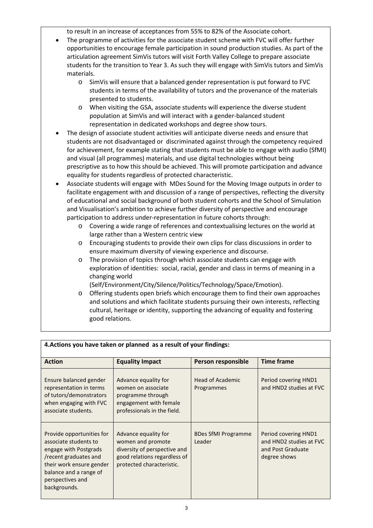to result in an increase of acceptances from 55% to 82% of the Associate cohort.

- The programme of activities for the associate student scheme with FVC will offer further opportunities to encourage female participation in sound production studies. As part of the articulation agreement SimVis tutors will visit Forth Valley College to prepare associate students for the transition to Year 3. As such they will engage with SimVis tutors and SimVis materials.
	- o SimVis will ensure that a balanced gender representation is put forward to FVC students in terms of the availability of tutors and the provenance of the materials presented to students.
	- o When visiting the GSA, associate students will experience the diverse student population at SimVis and will interact with a gender-balanced student representation in dedicated workshops and degree show tours.
- The design of associate student activities will anticipate diverse needs and ensure that students are not disadvantaged or discriminated against through the competency required for achievement, for example stating that students must be able to engage with audio (SfMI) and visual (all programmes) materials, and use digital technologies without being prescriptive as to how this should be achieved. This will promote participation and advance equality for students regardless of protected characteristic.
- Associate students will engage with MDes Sound for the Moving Image outputs in order to facilitate engagement with and discussion of a range of perspectives, reflecting the diversity of educational and social background of both student cohorts and the School of Simulation and Visualisation's ambition to achieve further diversity of perspective and encourage participation to address under-representation in future cohorts through:
	- o Covering a wide range of references and contextualising lectures on the world at large rather than a Western centric view
	- o Encouraging students to provide their own clips for class discussions in order to ensure maximum diversity of viewing experience and discourse.
	- o The provision of topics through which associate students can engage with exploration of identities: social, racial, gender and class in terms of meaning in a changing world

(Self/Environment/City/Silence/Politics/Technology/Space/Emotion).

o Offering students open briefs which encourage them to find their own approaches and solutions and which facilitate students pursuing their own interests, reflecting cultural, heritage or identity, supporting the advancing of equality and fostering good relations.

| <b>Action</b>                                                                                                                                                                                  | <b>Equality Impact</b>                                                                                                                 | Person responsible                   | <b>Time frame</b>                                                                    |
|------------------------------------------------------------------------------------------------------------------------------------------------------------------------------------------------|----------------------------------------------------------------------------------------------------------------------------------------|--------------------------------------|--------------------------------------------------------------------------------------|
| Ensure balanced gender<br>representation in terms<br>of tutors/demonstrators<br>when engaging with FVC<br>associate students.                                                                  | Advance equality for<br>women on associate<br>programme through<br>engagement with female<br>professionals in the field.               | Head of Academic<br>Programmes       | Period covering HND1<br>and HND2 studies at FVC                                      |
| Provide opportunities for<br>associate students to<br>engage with Postgrads<br>/recent graduates and<br>their work ensure gender<br>balance and a range of<br>perspectives and<br>backgrounds. | Advance equality for<br>women and promote<br>diversity of perspective and<br>good relations regardless of<br>protected characteristic. | <b>BDes SfMI Programme</b><br>Leader | Period covering HND1<br>and HND2 studies at FVC<br>and Post Graduate<br>degree shows |

## **4.Actions you have taken or planned as a result of your findings:**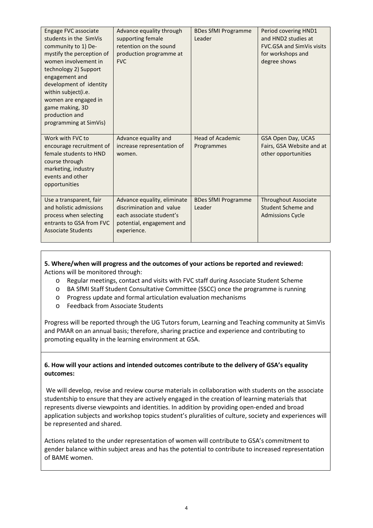| Engage FVC associate<br>students in the SimVis<br>community to 1) De-<br>mystify the perception of<br>women involvement in<br>technology 2) Support<br>engagement and<br>development of identity<br>within subject(i.e.<br>women are engaged in<br>game making, 3D<br>production and<br>programming at SimVis) | Advance equality through<br>supporting female<br>retention on the sound<br>production programme at<br><b>FVC</b>                | <b>BDes SfMI Programme</b><br>Leader  | Period covering HND1<br>and HND2 studies at<br><b>FVC.GSA and SimVis visits</b><br>for workshops and<br>degree shows |
|----------------------------------------------------------------------------------------------------------------------------------------------------------------------------------------------------------------------------------------------------------------------------------------------------------------|---------------------------------------------------------------------------------------------------------------------------------|---------------------------------------|----------------------------------------------------------------------------------------------------------------------|
| Work with FVC to<br>encourage recruitment of<br>female students to HND<br>course through<br>marketing, industry<br>events and other<br>opportunities                                                                                                                                                           | Advance equality and<br>increase representation of<br>women.                                                                    | <b>Head of Academic</b><br>Programmes | GSA Open Day, UCAS<br>Fairs, GSA Website and at<br>other opportunities                                               |
| Use a transparent, fair<br>and holistic admissions<br>process when selecting<br>entrants to GSA from FVC<br><b>Associate Students</b>                                                                                                                                                                          | Advance equality, eliminate<br>discrimination and value<br>each associate student's<br>potential, engagement and<br>experience. | <b>BDes SfMI Programme</b><br>Leader  | <b>Throughout Associate</b><br>Student Scheme and<br><b>Admissions Cycle</b>                                         |

## **5. Where/when will progress and the outcomes of your actions be reported and reviewed:** Actions will be monitored through:

- o Regular meetings, contact and visits with FVC staff during Associate Student Scheme
- o BA SfMI Staff Student Consultative Committee (SSCC) once the programme is running
- o Progress update and formal articulation evaluation mechanisms
- o Feedback from Associate Students

Progress will be reported through the UG Tutors forum, Learning and Teaching community at SimVis and PMAR on an annual basis; therefore, sharing practice and experience and contributing to promoting equality in the learning environment at GSA.

### **6. How will your actions and intended outcomes contribute to the delivery of GSA's equality outcomes:**

We will develop, revise and review course materials in collaboration with students on the associate studentship to ensure that they are actively engaged in the creation of learning materials that represents diverse viewpoints and identities. In addition by providing open-ended and broad application subjects and workshop topics student's pluralities of culture, society and experiences will be represented and shared.

Actions related to the under representation of women will contribute to GSA's commitment to gender balance within subject areas and has the potential to contribute to increased representation of BAME women.